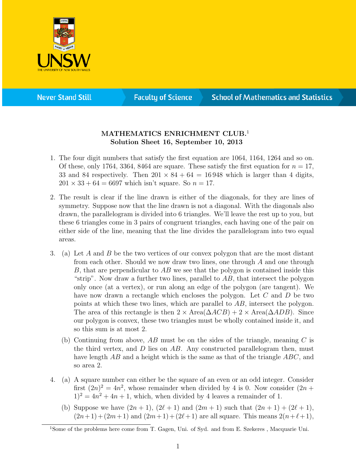

**Never Stand Still** 

**Faculty of Science** 

## **School of Mathematics and Statistics**

## MATHEMATICS ENRICHMENT CLUB.<sup>1</sup> Solution Sheet 16, September 10, 2013

- 1. The four digit numbers that satisfy the first equation are 1064, 1164, 1264 and so on. Of these, only 1764, 3364, 8464 are square. These satisfy the first equation for  $n = 17$ , 33 and 84 respectively. Then  $201 \times 84 + 64 = 16948$  which is larger than 4 digits,  $201 \times 33 + 64 = 6697$  which isn't square. So  $n = 17$ .
- 2. The result is clear if the line drawn is either of the diagonals, for they are lines of symmetry. Suppose now that the line drawn is not a diagonal. With the diagonals also drawn, the parallelogram is divided into 6 triangles. We'll leave the rest up to you, but these 6 triangles come in 3 pairs of congruent triangles, each having one of the pair on either side of the line, meaning that the line divides the parallelogram into two equal areas.
- 3. (a) Let A and B be the two vertices of our convex polygon that are the most distant from each other. Should we now draw two lines, one through A and one through B, that are perpendicular to  $AB$  we see that the polygon is contained inside this "strip". Now draw a further two lines, parallel to  $AB$ , that intersect the polygon only once (at a vertex), or run along an edge of the polygon (are tangent). We have now drawn a rectangle which encloses the polygon. Let C and D be two points at which these two lines, which are parallel to AB, intersect the polygon. The area of this rectangle is then  $2 \times \text{Area}(\Delta ACB) + 2 \times \text{Area}(\Delta ADB)$ . Since our polygon is convex, these two triangles must be wholly contained inside it, and so this sum is at most 2.
	- (b) Continuing from above,  $AB$  must be on the sides of the triangle, meaning C is the third vertex, and  $D$  lies on  $AB$ . Any constructed parallelogram then, must have length  $AB$  and a height which is the same as that of the triangle  $ABC$ , and so area 2.
- 4. (a) A square number can either be the square of an even or an odd integer. Consider first  $(2n)^2 = 4n^2$ , whose remainder when divided by 4 is 0. Now consider  $(2n +$  $1)^2 = 4n^2 + 4n + 1$ , which, when divided by 4 leaves a remainder of 1.
	- (b) Suppose we have  $(2n + 1)$ ,  $(2\ell + 1)$  and  $(2m + 1)$  such that  $(2n + 1) + (2\ell + 1)$ ,  $(2n+1)+(2m+1)$  and  $(2m+1)+(2\ell+1)$  are all square. This means  $2(n+\ell+1)$ ,

<sup>&</sup>lt;sup>1</sup>Some of the problems here come from T. Gagen, Uni. of Syd. and from E. Szekeres, Macquarie Uni.